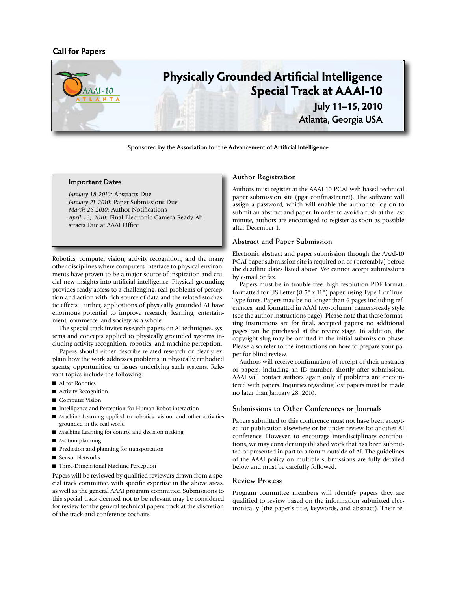# **Call for Papers**



**Sponsored by the Association for the Advancement of Artificial Intelligence**

#### **Important Dates**

*January 18 2010:* Abstracts Due *January 21 2010:* Paper Submissions Due *March 26 2010:* Author Notifications *April 13, 2010:* Final Electronic Camera Ready Abstracts Due at AAAI Office

Robotics, computer vision, activity recognition, and the many other disciplines where computers interface to physical environments have proven to be a major source of inspiration and crucial new insights into artificial intelligence. Physical grounding provides ready access to a challenging, real problems of perception and action with rich source of data and the related stochastic effects. Further, applications of physically grounded AI have enormous potential to improve research, learning, entertainment, commerce, and society as a whole.

The special track invites research papers on AI techniques, systems and concepts applied to physically grounded systems including activity recognition, robotics, and machine perception.

Papers should either describe related research or clearly explain how the work addresses problems in physically embodied agents, opportunities, or issues underlying such systems. Relevant topics include the following:

- AI for Robotics
- Activity Recognition
- Computer Vision
- Intelligence and Perception for Human-Robot interaction
- Machine Learning applied to robotics, vision, and other activities grounded in the real world
- Machine Learning for control and decision making
- $\blacksquare$  Motion planning
- Prediction and planning for transportation
- Sensor Networks
- Three-Dimensional Machine Perception

Papers will be reviewed by qualified reviewers drawn from a special track committee, with specific expertise in the above areas, as well as the general AAAI program committee. Submissions to this special track deemed not to be relevant may be considered for review for the general technical papers track at the discretion of the track and conference cochairs.

#### **Author Registration**

Authors must register at the AAAI-10 PGAI web-based technical paper submission site (pgai.confmaster.net). The software will assign a password, which will enable the author to log on to submit an abstract and paper. In order to avoid a rush at the last minute, authors are encouraged to register as soon as possible after December 1.

#### **Abstract and Paper Submission**

Electronic abstract and paper submission through the AAAI-10 PGAI paper submission site is required on or (preferably) before the deadline dates listed above. We cannot accept submissions by e-mail or fax.

Papers must be in trouble-free, high resolution PDF format, formatted for US Letter (8.5" x 11") paper, using Type 1 or True-Type fonts. Papers may be no longer than 6 pages including references, and formatted in AAAI two-column, camera-ready style (see the author instructions page). Please note that these formatting instructions are for final, accepted papers; no additional pages can be purchased at the review stage. In addition, the copyright slug may be omitted in the initial submission phase. Please also refer to the instructions on how to prepare your paper for blind review.

Authors will receive confirmation of receipt of their abstracts or papers, including an ID number, shortly after submission. AAAI will contact authors again only if problems are encountered with papers. Inquiries regarding lost papers must be made no later than January 28, 2010.

## **Submissions to Other Conferences or Journals**

Papers submitted to this conference must not have been accepted for publication elsewhere or be under review for another AI conference. However, to encourage interdisciplinary contributions, we may consider unpublished work that has been submitted or presented in part to a forum outside of AI. The guidelines of the AAAI policy on multiple submissions are fully detailed below and must be carefully followed.

## **Review Process**

Program committee members will identify papers they are qualified to review based on the information submitted electronically (the paper's title, keywords, and abstract). Their re